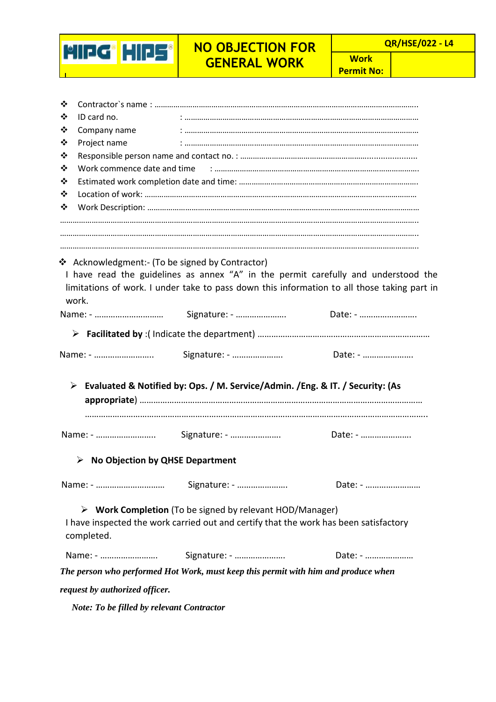

**Work Permit No:**

| ❖                                                |                                                                                                                                                                                                                                      |         |  |  |   |  |  |
|--------------------------------------------------|--------------------------------------------------------------------------------------------------------------------------------------------------------------------------------------------------------------------------------------|---------|--|--|---|--|--|
| ❖<br>ID card no.                                 | $\ddotsc$ . The commutation of the commutation of the commutation of the commutation of the commutation of the commutation of the commutation of the commutation of the commutation of the commutation of the commutation of the     |         |  |  |   |  |  |
| ❖<br>Company name                                |                                                                                                                                                                                                                                      |         |  |  |   |  |  |
| Project name<br>❖                                |                                                                                                                                                                                                                                      |         |  |  |   |  |  |
| ❖<br>Work commence date and time<br>❖<br>❖       |                                                                                                                                                                                                                                      |         |  |  |   |  |  |
|                                                  |                                                                                                                                                                                                                                      |         |  |  | ❖ |  |  |
|                                                  |                                                                                                                                                                                                                                      |         |  |  | ❖ |  |  |
| work.                                            | ❖ Acknowledgment:- (To be signed by Contractor)<br>I have read the guidelines as annex "A" in the permit carefully and understood the<br>limitations of work. I under take to pass down this information to all those taking part in |         |  |  |   |  |  |
|                                                  |                                                                                                                                                                                                                                      | Date: - |  |  |   |  |  |
|                                                  |                                                                                                                                                                                                                                      |         |  |  |   |  |  |
| Name: -                                          | Signature: -                                                                                                                                                                                                                         | Date: - |  |  |   |  |  |
|                                                  | > Evaluated & Notified by: Ops. / M. Service/Admin. / Eng. & IT. / Security: (As                                                                                                                                                     |         |  |  |   |  |  |
| Name: -                                          | Signature: -                                                                                                                                                                                                                         | Date: - |  |  |   |  |  |
| $\triangleright$ No Objection by QHSE Department |                                                                                                                                                                                                                                      |         |  |  |   |  |  |
|                                                  |                                                                                                                                                                                                                                      | Date: - |  |  |   |  |  |
| completed.                                       | $\triangleright$ Work Completion (To be signed by relevant HOD/Manager)<br>I have inspected the work carried out and certify that the work has been satisfactory                                                                     |         |  |  |   |  |  |
| Name: -                                          | Signature: -                                                                                                                                                                                                                         | Date: - |  |  |   |  |  |
|                                                  | The person who performed Hot Work, must keep this permit with him and produce when                                                                                                                                                   |         |  |  |   |  |  |
| request by authorized officer.                   |                                                                                                                                                                                                                                      |         |  |  |   |  |  |

*Note: To be filled by relevant Contractor*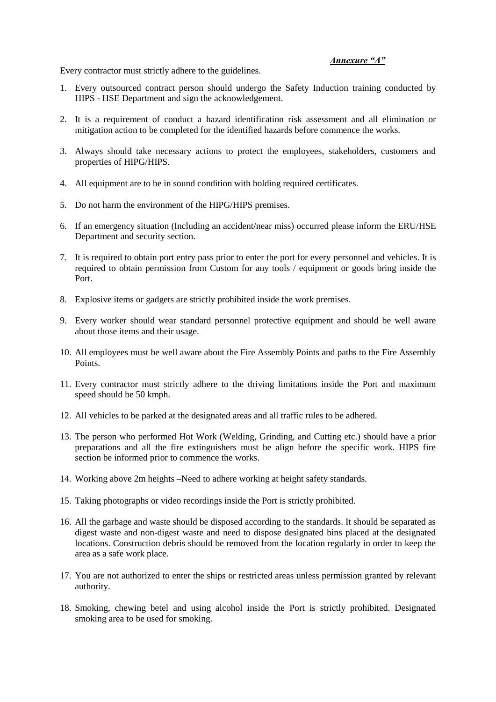## *Annexure "A"*

Every contractor must strictly adhere to the guidelines.

- 1. Every outsourced contract person should undergo the Safety Induction training conducted by HIPS - HSE Department and sign the acknowledgement.
- 2. It is a requirement of conduct a hazard identification risk assessment and all elimination or mitigation action to be completed for the identified hazards before commence the works.
- 3. Always should take necessary actions to protect the employees, stakeholders, customers and properties of HIPG/HIPS.
- 4. All equipment are to be in sound condition with holding required certificates.
- 5. Do not harm the environment of the HIPG/HIPS premises.
- 6. If an emergency situation (Including an accident/near miss) occurred please inform the ERU/HSE Department and security section.
- 7. It is required to obtain port entry pass prior to enter the port for every personnel and vehicles. It is required to obtain permission from Custom for any tools / equipment or goods bring inside the Port.
- 8. Explosive items or gadgets are strictly prohibited inside the work premises.
- 9. Every worker should wear standard personnel protective equipment and should be well aware about those items and their usage.
- 10. All employees must be well aware about the Fire Assembly Points and paths to the Fire Assembly Points.
- 11. Every contractor must strictly adhere to the driving limitations inside the Port and maximum speed should be 50 kmph.
- 12. All vehicles to be parked at the designated areas and all traffic rules to be adhered.
- 13. The person who performed Hot Work (Welding, Grinding, and Cutting etc.) should have a prior preparations and all the fire extinguishers must be align before the specific work. HIPS fire section be informed prior to commence the works.
- 14. Working above 2m heights –Need to adhere working at height safety standards.
- 15. Taking photographs or video recordings inside the Port is strictly prohibited.
- 16. All the garbage and waste should be disposed according to the standards. It should be separated as digest waste and non-digest waste and need to dispose designated bins placed at the designated locations. Construction debris should be removed from the location regularly in order to keep the area as a safe work place.
- 17. You are not authorized to enter the ships or restricted areas unless permission granted by relevant authority.
- 18. Smoking, chewing betel and using alcohol inside the Port is strictly prohibited. Designated smoking area to be used for smoking.